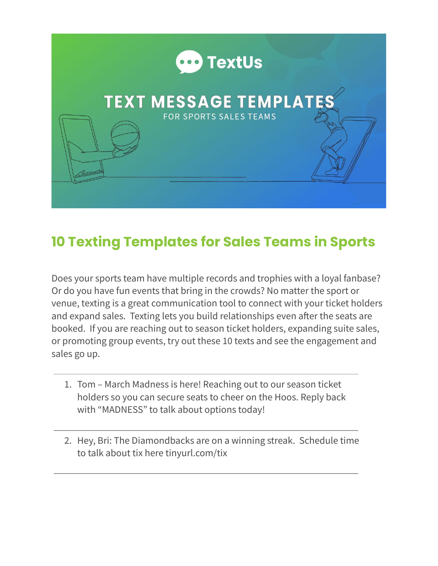

## **10 Texting Templates for Sales Teams in Sports**

Does your sports team have multiple records and trophies with a loyal fanbase? Or do you have fun events that bring in the crowds? No matter the sport or venue, texting is a great communication tool to connect with your ticket holders and expand sales. Texting lets you build relationships even after the seats are booked. If you are reaching out to season ticket holders, expanding suite sales, or promoting group events, try out these 10 texts and see the engagement and sales go up.

- 1. Tom March Madness is here! Reaching out to our season ticket holders so you can secure seats to cheer on the Hoos. Reply back with "MADNESS" to talk about options today!
- 2. Hey, Bri: The Diamondbacks are on a winning streak. Schedule time to talk about tix here tinyurl.com/tix